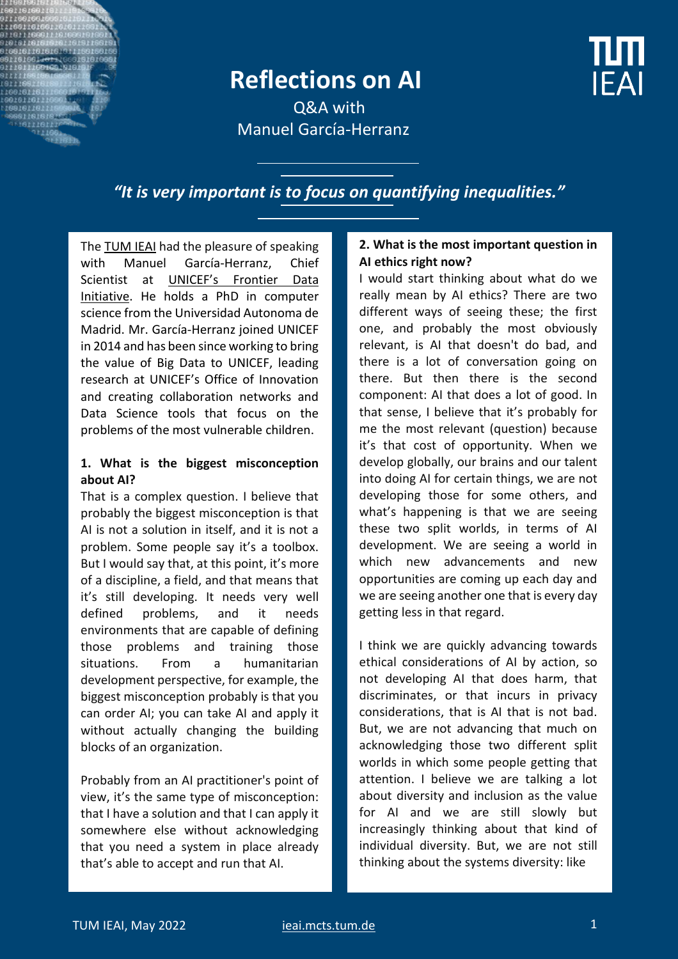## **Reflections on AI**

**IFAI** 

Q&A with Manuel García-Herranz

*"It is very important is to focus on quantifying inequalities."*

Th[e TUM IEAI](https://ieai.mcts.tum.de/) had the pleasure of speaking with Manuel García-Herranz, Chief Scientist at [UNICEF's Frontier Data](https://www.unicef.org/innovation/Magicbox)  [Initiative.](https://www.unicef.org/innovation/Magicbox) He holds a PhD in computer science from the Universidad Autonoma de Madrid. Mr. García-Herranz joined UNICEF in 2014 and has been since working to bring the value of Big Data to UNICEF, leading research at UNICEF's Office of Innovation and creating collaboration networks and Data Science tools that focus on the problems of the most vulnerable children.

#### **1. What is the biggest misconception about AI?**

That is a complex question. I believe that probably the biggest misconception is that AI is not a solution in itself, and it is not a problem. Some people say it's a toolbox. But I would say that, at this point, it's more of a discipline, a field, and that means that it's still developing. It needs very well defined problems, and it needs environments that are capable of defining those problems and training those situations. From a humanitarian development perspective, for example, the biggest misconception probably is that you can order AI; you can take AI and apply it without actually changing the building blocks of an organization.

Probably from an AI practitioner's point of view, it's the same type of misconception: that I have a solution and that I can apply it somewhere else without acknowledging that you need a system in place already that's able to accept and run that AI.

#### **2. What is the most important question in AI ethics right now?**

I would start thinking about what do we really mean by AI ethics? There are two different ways of seeing these; the first one, and probably the most obviously relevant, is AI that doesn't do bad, and there is a lot of conversation going on there. But then there is the second component: AI that does a lot of good. In that sense, I believe that it's probably for me the most relevant (question) because it's that cost of opportunity. When we develop globally, our brains and our talent into doing AI for certain things, we are not developing those for some others, and what's happening is that we are seeing these two split worlds, in terms of AI development. We are seeing a world in which new advancements and new opportunities are coming up each day and we are seeing another one that is every day getting less in that regard.

I think we are quickly advancing towards ethical considerations of AI by action, so not developing AI that does harm, that discriminates, or that incurs in privacy considerations, that is AI that is not bad. But, we are not advancing that much on acknowledging those two different split worlds in which some people getting that attention. I believe we are talking a lot about diversity and inclusion as the value for AI and we are still slowly but increasingly thinking about that kind of individual diversity. But, we are not still thinking about the systems diversity: like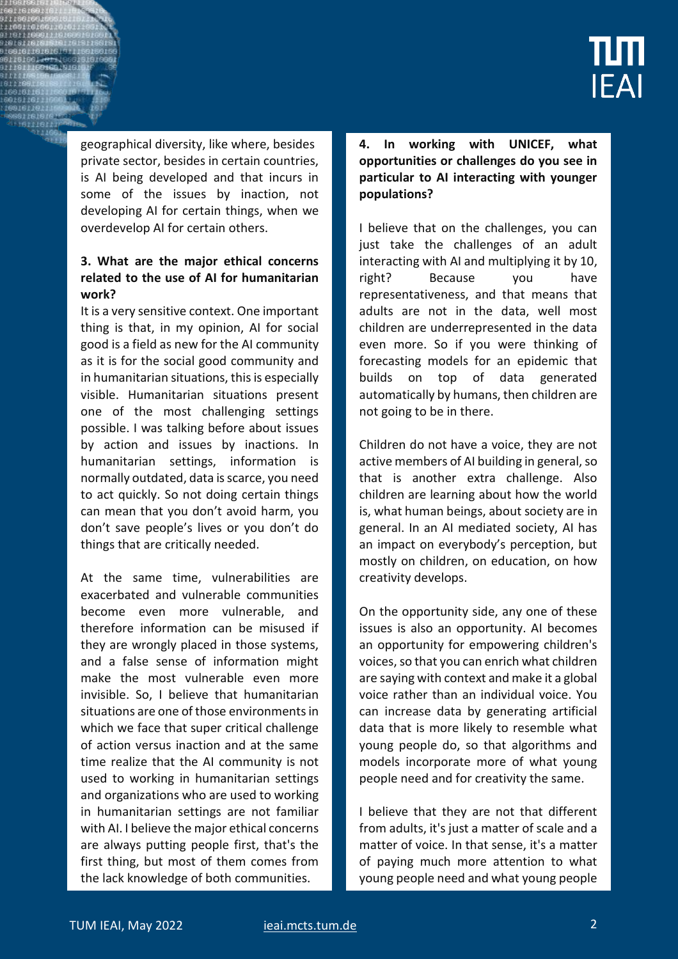

geographical diversity, like where, besides private sector, besides in certain countries, is AI being developed and that incurs in some of the issues by inaction, not developing AI for certain things, when we overdevelop AI for certain others.

#### **3. What are the major ethical concerns related to the use of AI for humanitarian work?**

It is a very sensitive context. One important thing is that, in my opinion, AI for social good is a field as new for the AI community as it is for the social good community and in humanitarian situations, this is especially visible. Humanitarian situations present one of the most challenging settings possible. I was talking before about issues by action and issues by inactions. In humanitarian settings, information is normally outdated, data is scarce, you need to act quickly. So not doing certain things can mean that you don't avoid harm, you don't save people's lives or you don't do things that are critically needed.

At the same time, vulnerabilities are exacerbated and vulnerable communities become even more vulnerable, and therefore information can be misused if they are wrongly placed in those systems, and a false sense of information might make the most vulnerable even more invisible. So, I believe that humanitarian situations are one of those environments in which we face that super critical challenge of action versus inaction and at the same time realize that the AI community is not used to working in humanitarian settings and organizations who are used to working in humanitarian settings are not familiar with AI. I believe the major ethical concerns are always putting people first, that's the first thing, but most of them comes from the lack knowledge of both communities.

#### **4. In working with UNICEF, what opportunities or challenges do you see in particular to AI interacting with younger populations?**

I believe that on the challenges, you can just take the challenges of an adult interacting with AI and multiplying it by 10, right? Because you have representativeness, and that means that adults are not in the data, well most children are underrepresented in the data even more. So if you were thinking of forecasting models for an epidemic that builds on top of data generated automatically by humans, then children are not going to be in there.

Children do not have a voice, they are not active members of AI building in general, so that is another extra challenge. Also children are learning about how the world is, what human beings, about society are in general. In an AI mediated society, AI has an impact on everybody's perception, but mostly on children, on education, on how creativity develops.

On the opportunity side, any one of these issues is also an opportunity. AI becomes an opportunity for empowering children's voices, so that you can enrich what children are saying with context and make it a global voice rather than an individual voice. You can increase data by generating artificial data that is more likely to resemble what young people do, so that algorithms and models incorporate more of what young people need and for creativity the same.

I believe that they are not that different from adults, it's just a matter of scale and a matter of voice. In that sense, it's a matter of paying much more attention to what young people need and what young people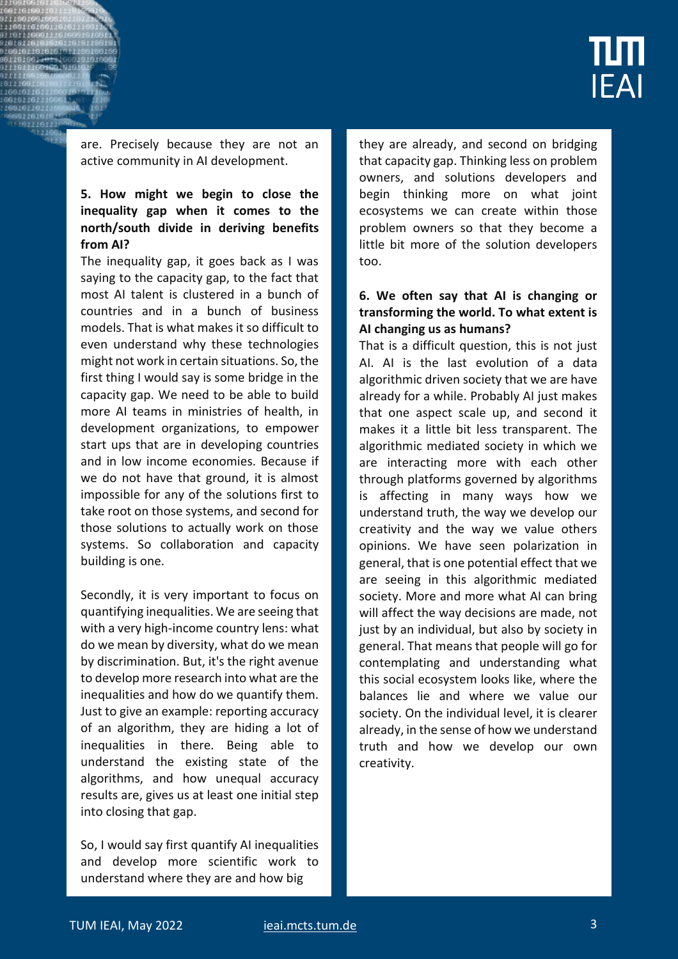

are. Precisely because they are not an active community in AI development.

#### **5. How might we begin to close the inequality gap when it comes to the north/south divide in deriving benefits from AI?**

The inequality gap, it goes back as I was saying to the capacity gap, to the fact that most AI talent is clustered in a bunch of countries and in a bunch of business models. That is what makes it so difficult to even understand why these technologies might not work in certain situations. So, the first thing I would say is some bridge in the capacity gap. We need to be able to build more AI teams in ministries of health, in development organizations, to empower start ups that are in developing countries and in low income economies. Because if we do not have that ground, it is almost impossible for any of the solutions first to take root on those systems, and second for those solutions to actually work on those systems. So collaboration and capacity building is one.

Secondly, it is very important to focus on quantifying inequalities. We are seeing that with a very high-income country lens: what do we mean by diversity, what do we mean by discrimination. But, it's the right avenue to develop more research into what are the inequalities and how do we quantify them. Just to give an example: reporting accuracy of an algorithm, they are hiding a lot of inequalities in there. Being able to understand the existing state of the algorithms, and how unequal accuracy results are, gives us at least one initial step into closing that gap.

So, I would say first quantify AI inequalities and develop more scientific work to understand where they are and how big

they are already, and second on bridging that capacity gap. Thinking less on problem owners, and solutions developers and begin thinking more on what joint ecosystems we can create within those problem owners so that they become a little bit more of the solution developers too.

#### **6. We often say that AI is changing or transforming the world. To what extent is AI changing us as humans?**

That is a difficult question, this is not just AI. AI is the last evolution of a data algorithmic driven society that we are have already for a while. Probably AI just makes that one aspect scale up, and second it makes it a little bit less transparent. The algorithmic mediated society in which we are interacting more with each other through platforms governed by algorithms is affecting in many ways how we understand truth, the way we develop our creativity and the way we value others opinions. We have seen polarization in general, that is one potential effect that we are seeing in this algorithmic mediated society. More and more what AI can bring will affect the way decisions are made, not just by an individual, but also by society in general. That means that people will go for contemplating and understanding what this social ecosystem looks like, where the balances lie and where we value our society. On the individual level, it is clearer already, in the sense of how we understand truth and how we develop our own creativity.